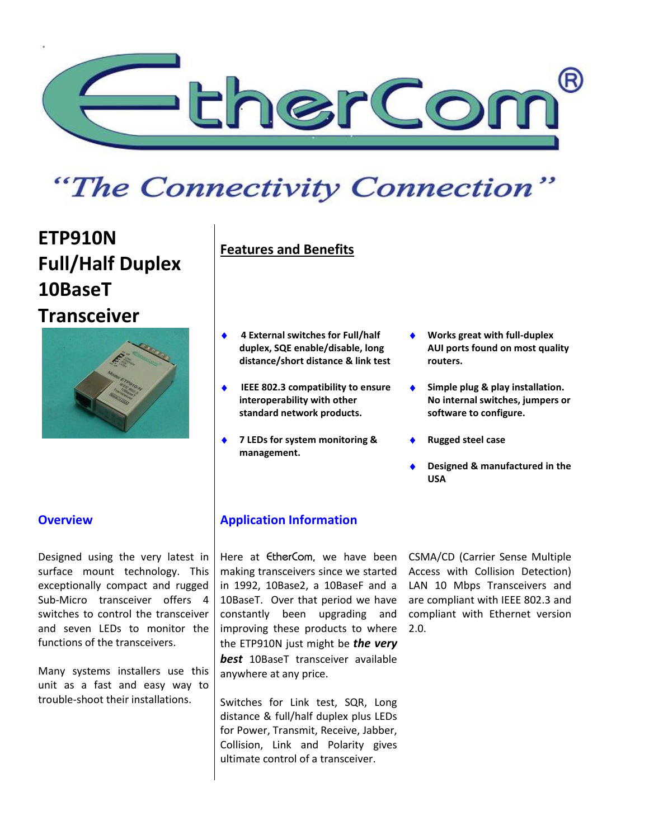

# "The Connectivity Connection"

## **ETP910N Full/Half Duplex 10BaseT [Transceiver](http://ethercom.com/etp910pic.htm)**



## **Features and Benefits**

- **4 External switches for Full/half duplex, SQE enable/disable, long distance/short distance & link test**
- **IEEE 802.3 compatibility to ensure interoperability with other standard network products.**
- **7 LEDs for system monitoring & management.**
- **Works great with full-duplex AUI ports found on most quality routers.**
- ◆ Simple plug & play installation. **No internal switches, jumpers or software to configure.**
- **Rugged steel case**
- **Designed & manufactured in the USA**

Designed using the very latest in surface mount technology. This exceptionally compact and rugged Sub-Micro transceiver offers 4 switches to control the transceiver and seven LEDs to monitor the functions of the transceivers.

Many systems installers use this unit as a fast and easy way to trouble-shoot their installations.

### **Overview <b>Application** Information

Here at EtherCom, we have been CSMA/CD (Carrier Sense Multiple making transceivers since we started in 1992, 10Base2, a 10BaseF and a 10BaseT. Over that period we have constantly been upgrading and improving these products to where the ETP910N just might be *the very best* 10BaseT transceiver available anywhere at any price.

Switches for Link test, SQR, Long distance & full/half duplex plus LEDs for Power, Transmit, Receive, Jabber, Collision, Link and Polarity gives ultimate control of a transceiver.

Access with Collision Detection) LAN 10 Mbps Transceivers and are compliant with IEEE 802.3 and compliant with Ethernet version 2.0.